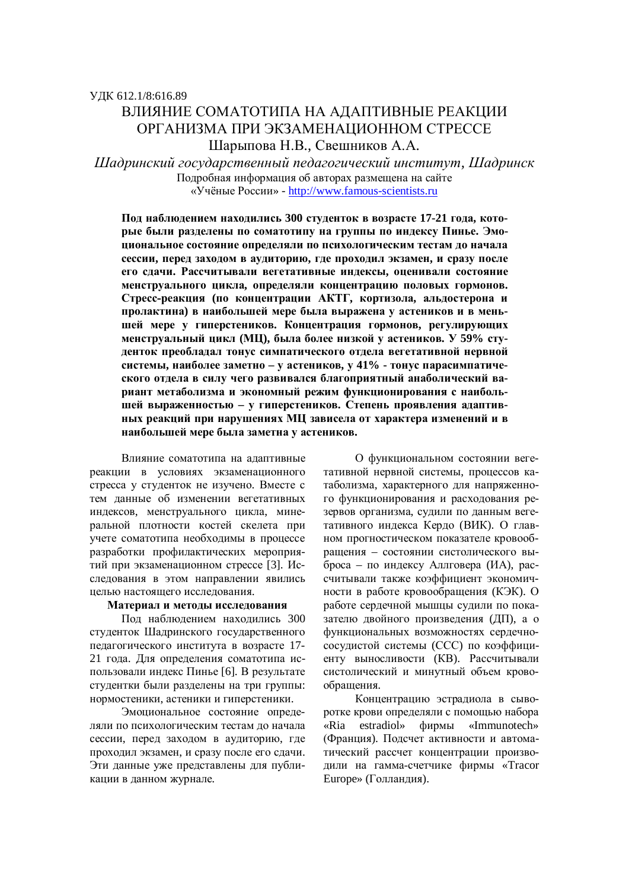# ВЛИЯНИЕ СОМАТОТИПА НА АЛАПТИВНЫЕ РЕАКЦИИ ОРГАНИЗМА ПРИ ЭКЗАМЕНАЦИОННОМ СТРЕССЕ Шарыпова Н.В., Свешников А.А.

*ɒɚɞɪɢɧɫɤɢɣɝɨɫɭɞɚɪɫɬɜɟɧɧɵɣɩɟɞɚɝɨɝɢɱɟɫɤɢɣɢɧɫɬɢɬɭɬ, ɒɚɞɪɢɧɫɤ* Подробная информация об авторах размещена на сайте ©ɍɱɺɧɵɟɊɨɫɫɢɢ» - http://www.famous-scientists.ru

Под наблюдением находились 300 студенток в возрасте 17-21 года, которые были разделены по соматотипу на группы по индексу Пинье. Эмоциональное состояние определяли по психологическим тестам до начала сессии, перед заходом в аудиторию, где проходил экзамен, и сразу после его сдачи. Рассчитывали вегетативные индексы, оценивали состояние менструального цикла, определяли концентрацию половых гормонов. Стресс-реакция (по концентрации АКТГ, кортизола, альдостерона и пролактина) в наибольшей мере была выражена у астеников и в меньшей мере у гиперстеников. Концентрация гормонов, регулирующих менструальный цикл (МЦ), была более низкой у астеников. У 59% студенток преобладал тонус симпатического отдела вегетативной нервной системы, наиболее заметно - у астеников, у 41% - тонус парасимпатического отдела в силу чего развивался благоприятный анаболический вариант метаболизма и экономный режим функционирования с наибольшей выраженностью - у гиперстеников. Степень проявления адаптивных реакций при нарушениях МЦ зависела от характера изменений и в наибольшей мере была заметна у астеников.

Влияние соматотипа на алаптивные реакции в условиях экзаменационного стресса у студенток не изучено. Вместе с тем данные об изменении вегетативных индексов, менструального цикла, минеральной плотности костей скелета при учете соматотипа необходимы в процессе разработки профилактических мероприятий при экзаменационном стрессе [3]. Исследования в этом направлении явились иелью настояшего исследования.

# Материал и методы исследования

Под наблюдением находились 300 студенток Шадринского государственного педагогического института в возрасте 17-21 года. Для определения соматотипа использовали индекс Пинье [6]. В результате студентки были разделены на три группы: нормостеники, астеники и гиперстеники.

Эмоциональное состояние определяли по психологическим тестам до начала сессии, перед заходом в аудиторию, где проходил экзамен, и сразу после его сдачи. Эти данные уже представлены для публикации в данном журнале.

О функциональном состоянии вегетативной нервной системы, процессов катаболизма, характерного для напряженного функционирования и расходования резервов организма, судили по данным вегетативного индекса Кердо (ВИК). О главном прогностическом показателе кровообращения – состоянии систолического выброса – по индексу Аллговера (ИА), рассчитывали также коэффициент экономичности в работе кровообращения (КЭК). О работе сердечной мышцы судили по показателю двойного произведения (ДП), а о функциональных возможностях сердечнососудистой системы (ССС) по коэффициенту выносливости (КВ). Рассчитывали систолический и минутный объем кровообращения.

Концентрацию эстрадиола в сыворотке крови определяли с помощью набора «Ria estradiol» фирмы «Immunotech» (Франция). Подсчет активности и автоматический рассчет концентрации производили на гамма-счетчике фирмы «Tracor Europe» (Голландия).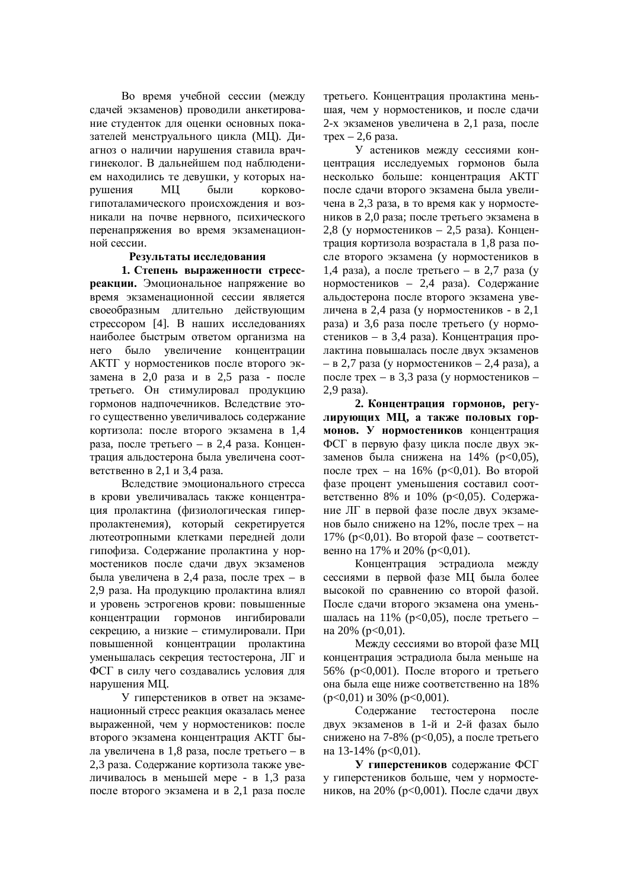Во время учебной сессии (между сдачей экзаменов) проводили анкетирование студенток для оценки основных показателей менструального цикла (МЦ). Диагноз о наличии нарушения ставила врачгинеколог. В дальнейшем под наблюдением находились те девушки, у которых нарушения МЦ были корковогипоталамического происхождения и возникали на почве нервного, психического перенапряжения во время экзаменационной сессии.

#### Результаты исследования

1. Степень выраженности стресс**реакции.** Эмоциональное напряжение во время экзаменационной сессии является своеобразным длительно действующим стрессором [4]. В наших исследованиях наиболее быстрым ответом организма на него было увеличение концентрации АКТГ у нормостеников после второго экзамена в 2,0 раза и в 2,5 раза - после третьего. Он стимулировал продукцию гормонов надпочечников. Вследствие этого существенно увеличивалось содержание кортизола: после второго экзамена в 1,4 раза, после третьего – в 2,4 раза. Концентрация альдостерона была увеличена соответственно в 2,1 и 3,4 раза.

Вследствие эмоционального стресса в крови увеличивалась также концентрация пролактина (физиологическая гиперпролактенемия), который секретируется лютеотропными клетками передней доли гипофиза. Содержание пролактина у нормостеников после сдачи двух экзаменов была увеличена в 2,4 раза, после трех – в 2,9 раза. На продукцию пролактина влиял и уровень эстрогенов крови: повышенные концентрации гормонов ингибировали секрецию, а низкие – стимулировали. При повышенной концентрации пролактина уменьшалась секреция тестостерона. ЛГ и ФСГ в силу чего создавались условия для нарушения МЦ.

У гиперстеников в ответ на экзаменационный стресс реакция оказалась менее выраженной, чем у нормостеников: после второго экзамена концентрация АКТГ была увеличена в 1,8 раза, после третьего – в 2.3 раза. Содержание кортизола также увеличивалось в меньшей мере - в 1,3 раза после второго экзамена и в 2,1 раза после третьего. Концентрация пролактина меньшая, чем у нормостеников, и после сдачи 2-х экзаменов увеличена в 2,1 раза, после  $T$ рех – 2,6 раза.

У астеников между сессиями концентрация исследуемых гормонов была несколько больше: концентрация АКТГ после сдачи второго экзамена была увеличена в 2,3 раза, в то время как у нормостеников в 2,0 раза; после третьего экзамена в 2,8 (у нормостеников – 2,5 раза). Концентрация кортизола возрастала в 1,8 раза после второго экзамена (у нормостеников в 1,4 раза), а после третьего – в 2,7 раза (у нормостеников – 2,4 раза). Содержание альдостерона после второго экзамена увеличена в 2,4 раза (у нормостеников - в 2,1 раза) и 3,6 раза после третьего (у нормостеников – в 3,4 раза). Концентрация пролактина повышалась после двух экзаменов – в 2,7 раза (у нормостеников – 2,4 раза), а после трех – в 3,3 раза (у нормостеников –  $2,9$  раза).

2. Концентрация гормонов, регулирующих МЦ, а также половых гор**монов.** У нормостеников концентрация ФСГ в первую фазу цикла после двух экзаменов была снижена на  $14\%$  ( $p<0.05$ ), после трех – на  $16\%$  ( $p<0.01$ ). Во второй фазе процент уменьшения составил соответственно 8% и 10% (p<0,05). Содержание ЛГ в первой фазе после двух экзаменов было снижено на 12%, после трех – на  $17\%$  (p<0,01). Во второй фазе – соответственно на 17% и 20% ( $p<0,01$ ).

Концентрация эстрадиола между сессиями в первой фазе МЦ была более высокой по сравнению со второй фазой. После сдачи второго экзамена она уменьшалась на 11% ( $p<0,05$ ), после третьего – на 20% ( $p < 0.01$ ).

Между сессиями во второй фазе МЦ концентрация эстрадиола была меньше на  $56\%$  (p<0,001). После второго и третьего она была еще ниже соответственно на 18%  $(p<0,01)$   $\mu$  30%  $(p<0,001)$ .

Содержание тестостерона после двух экзаменов в 1-й и 2-й фазах было снижено на 7-8% ( $p<0,05$ ), а после третьего на 13-14% ( $p < 0.01$ ).

**У гиперстеников содержание ФСГ** у гиперстеников больше, чем у нормостеников, на 20% (р<0,001). После сдачи двух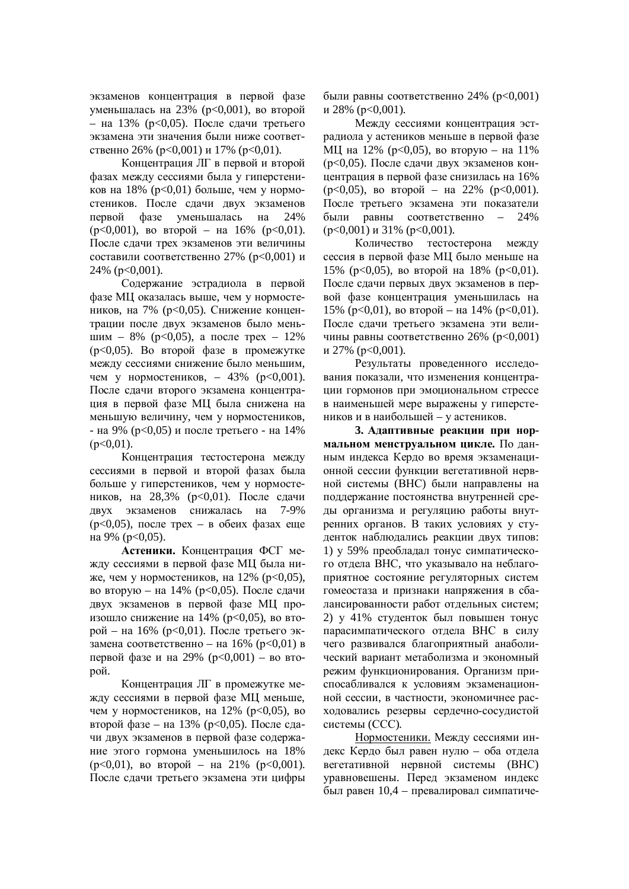экзаменов концентрация в первой фазе уменьшалась на 23% (p<0,001), во второй – на 13% ( $p < 0.05$ ). После слачи третьего экзамена эти значения были ниже соответственно 26% ( $p<0,001$ ) и 17% ( $p<0,01$ ).

Концентрация ЛГ в первой и второй фазах между сессиями была у гиперстеников на 18% (p<0,01) больше, чем у нормостеников. После сдачи двух экзаменов первой фазе уменьшалась на 24%  $(p<0,001)$ , bo bropoň – Ha 16% ( $p<0,01$ ). После сдачи трех экзаменов эти величины составили соответственно 27% (p<0,001) и 24% ( $p<0,001$ ).

Содержание эстрадиола в первой фазе МЦ оказалась выше, чем у нормостеников, на 7% (р<0,05). Снижение концентрации после двух экзаменов было меньшим – 8% ( $p<0,05$ ), а после трех – 12%  $(p<0.05)$ . Во второй фазе в промежутке между сессиями снижение было меньшим, чем у нормостеников, – 43% ( $p<0.001$ ). После сдачи второго экзамена концентрация в первой фазе МЦ была снижена на меньшую величину, чем у нормостеников, - на 9% ( $p<0.05$ ) и после третьего - на 14%  $(p<0.01)$ .

Концентрация тестостерона между сессиями в первой и второй фазах была больше у гиперстеников, чем у нормостеников, на 28,3% (р<0,01). После сдачи двух экзаменов снижалась на 7-9%  $(p<0.05)$ , после трех – в обеих фазах еще на 9% ( $p<0,05$ ).

Астеники. Концентрация ФСГ между сессиями в первой фазе МЦ была ниже, чем у нормостеников, на  $12\%$  ( $p<0.05$ ), во вторую – на 14% (р<0,05). После сдачи двух экзаменов в первой фазе МЦ произошло снижение на 14% ( $p<0,05$ ), во вто $p$ ой – на 16% ( $p$ <0.01). После третьего экзамена соответственно – на 16% ( $p<0,01$ ) в первой фазе и на 29% ( $p < 0.001$ ) – во второй.

Концентрация ЛГ в промежутке между сессиями в первой фазе МЦ меньше, чем у нормостеников, на  $12\%$  ( $p<0.05$ ), во второй фазе – на 13% ( $p<0,05$ ). После сдачи лвух экзаменов в первой фазе содержание этого гормона уменьшилось на 18%  $(p<0,01)$ , bo bropoň – Ha 21% ( $p<0,001$ ). После сдачи третьего экзамена эти цифры

были равны соответственно 24% ( $p < 0.001$ )  $\mu$  28% ( $p<0,001$ ).

Межлу сессиями концентрация эстрадиола у астеников меньше в первой фазе МЦ на 12% (р<0,05), во вторую – на 11%  $(p<0.05)$ . После сдачи двух экзаменов концентрация в первой фазе снизилась на 16%  $(p<0,05)$ , во второй – на 22%  $(p<0,001)$ . После третьего экзамена эти показатели были равны соответственно – 24%  $(p<0,001)$   $\mu$  31%  $(p<0,001)$ .

Количество тестостерона между сессия в первой фазе МЦ было меньше на 15% (р<0,05), во второй на 18% (р<0,01). После сдачи первых двух экзаменов в первой фазе концентрация уменьшилась на  $15\%$  (p<0,01), во второй – на 14% (p<0,01). После сдачи третьего экзамена эти величины равны соответственно 26% ( $p<0,001$ )  $\mu$  27% ( $p<0,001$ ).

Результаты проведенного исследования показали, что изменения концентрации гормонов при эмоциональном стрессе в наименьшей мере выражены у гиперстеников и в наибольшей – у астеников.

3. Адаптивные реакции при нор**мальном менструальном цикле.** По данным индекса Кердо во время экзаменационной сессии функции вегетативной нервной системы (ВНС) были направлены на поддержание постоянства внутренней среды организма и регуляцию работы внутренних органов. В таких условиях у студенток наблюдались реакции двух типов: 1) у 59% преобладал тонус симпатического отдела ВНС, что указывало на неблагоприятное состояние регуляторных систем гомеостаза и признаки напряжения в сбалансированности работ отдельных систем; 2) у 41% студенток был повышен тонус парасимпатического отлела ВНС в силу чего развивался благоприятный анаболический вариант метаболизма и экономный режим функционирования. Организм приспосабливался к условиям экзаменационной сессии, в частности, экономичнее расходовались резервы сердечно-сосудистой системы (ССС).

Нормостеники. Между сессиями индекс Кердо был равен нулю – оба отдела вегетативной нервной системы (ВНС) уравновешены. Перед экзаменом индекс был равен 10,4 – превалировал симпатиче-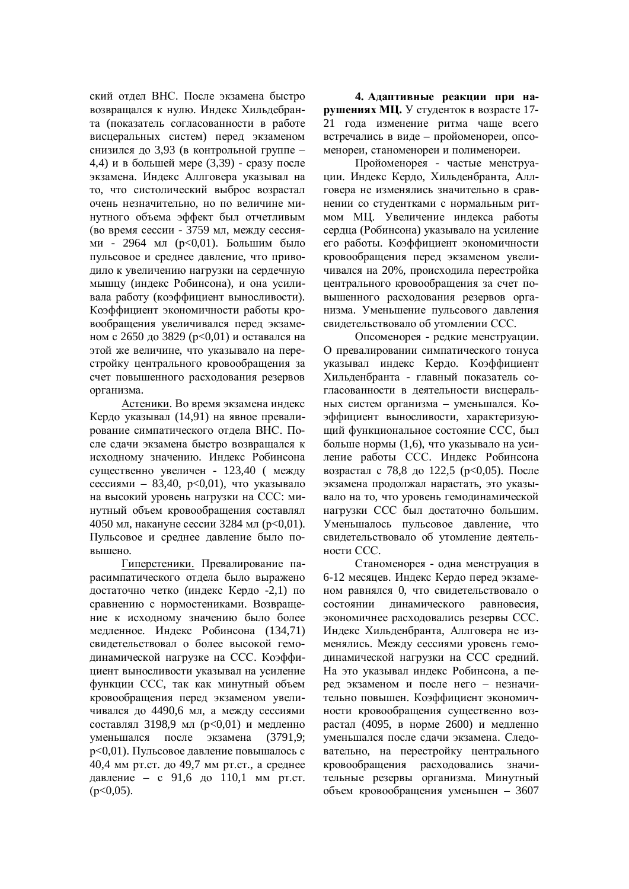ский отдел ВНС. После экзамена быстро возвращался к нулю. Индекс Хильдебранта (показатель согласованности в работе висцеральных систем) перед экзаменом снизился до 3,93 (в контрольной группе – 4,4) и в большей мере  $(3,39)$  - сразу после экзамена. Индекс Аллговера указывал на то, что систолический выброс возрастал очень незначительно, но по величине минутного объема эффект был отчетливым (во время сессии - 3759 мл, между сессиями - 2964 мл (р<0,01). Большим было пульсовое и среднее давление, что приводило к увеличению нагрузки на сердечную мышцу (индекс Робинсона), и она усиливала работу (коэффициент выносливости). Коэффициент экономичности работы кровообращения увеличивался перед экзаменом с 2650 до 3829 (p<0,01) и оставался на этой же величине, что указывало на перестройку центрального кровообращения за счет повышенного расхолования резервов организма.

Астеники. Во время экзамена индекс Кердо указывал (14,91) на явное превалирование симпатического отдела ВНС. После сдачи экзамена быстро возвращался к исходному значению. Индекс Робинсона существенно увеличен - 123,40 ( между сессиями – 83,40,  $p<0.01$ ), что указывало на высокий уровень нагрузки на ССС: минутный объем кровообращения составлял 4050 мл, накануне сессии 3284 мл ( $p<0,01$ ). Пульсовое и среднее давление было повышено.

Гиперстеники. Превалирование парасимпатического отдела было выражено достаточно четко (индекс Кердо -2,1) по сравнению с нормостениками. Возвращение к исходному значению было более мелленное. Инлекс Робинсона (134,71) свилетельствовал о более высокой гемодинамической нагрузке на ССС. Коэффициент выносливости указывал на усиление функции ССС, так как минутный объем кровообращения перед экзаменом увеличивался до 4490,6 мл, а между сессиями составлял 3198,9 мл (p<0,01) и медленно үменьшался после экзамена (3791,9; р<0,01). Пульсовое давление повышалось с 40,4 мм рт.ст. до 49,7 мм рт.ст., а среднее давление – с 91,6 до 110,1 мм рт.ст.  $(p<0.05)$ .

4. Адаптивные реакции при на**рушениях МЦ.** У студенток в возрасте 17-21 года изменение ритма чаще всего встречались в виде – пройоменореи, опсоменореи, станоменореи и полименореи.

Пройоменорея - частые менструации. Индекс Кердо, Хильденбранта, Аллговера не изменялись значительно в сравнении со студентками с нормальным ритмом МЦ. Увеличение индекса работы сердца (Робинсона) указывало на усиление его работы. Коэффициент экономичности кровообращения перед экзаменом увеличивался на 20%, происходила перестройка центрального кровообращения за счет повышенного расходования резервов организма. Уменьшение пульсового давления свидетельствовало об утомлении ССС.

Опсоменорея - редкие менструации. О превалировании симпатического тонуса указывал индекс Кердо. Коэффициент Хильденбранта - главный показатель согласованности в деятельности висцеральных систем организма – уменьшался. Коэффициент выносливости, характеризующий функциональное состояние ССС, был больше нормы (1,6), что указывало на усиление работы ССС. Индекс Робинсона возрастал с 78,8 до 122,5 ( $p<0.05$ ). После экзамена продолжал нарастать, это указывало на то, что уровень гемодинамической нагрузки ССС был достаточно большим. Уменьшалось пульсовое давление, что свидетельствовало об утомление деятельности ССС.

Станоменорея - одна менструация в 6-12 месяцев. Индекс Кердо перед экзаменом равнялся 0, что свидетельствовало о состоянии динамического равновесия, экономичнее расходовались резервы ССС. Индекс Хильденбранта. Аллговера не изменялись. Между сессиями уровень гемодинамической нагрузки на ССС средний. На это указывал индекс Робинсона, а перед экзаменом и после него – незначительно повышен. Коэффициент экономичности кровообращения существенно возрастал (4095, в норме 2600) и медленно уменьшался после слачи экзамена. Слеловательно, на перестройку центрального кровообрашения расходовались значительные резервы организма. Минутный объем кровообращения уменьшен – 3607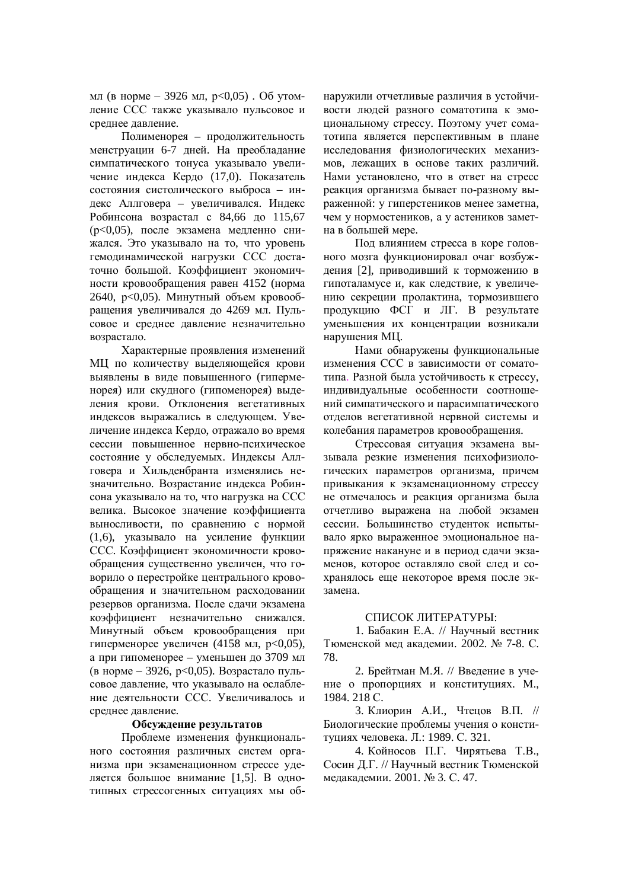мл (в норме – 3926 мл,  $p<0.05$ ). Об утомление ССС также указывало пульсовое и среднее давление.

Полименорея – продолжительность менструации 6-7 дней. На преобладание симпатического тонуса указывало увеличение индекса Кердо (17,0). Показатель состояния систолического выброса – индекс Аллговера – увеличивался. Индекс Робинсона возрастал с 84,66 до 115,67 (p<0,05), после экзамена медленно снижался. Это указывало на то, что уровень гемодинамической нагрузки ССС достаточно большой. Коэффициент экономичности кровообращения равен 4152 (норма 2640,  $p < 0.05$ ). Минутный объем кровообращения увеличивался до 4269 мл. Пульсовое и среднее давление незначительно возрастало.

Характерные проявления изменений МЦ по количеству выделяющейся крови выявлены в виде повышенного (гиперменорея) или скудного (гипоменорея) выделения крови. Отклонения вегетативных индексов выражались в следующем. Увеличение индекса Кердо, отражало во время сессии повышенное нервно-психическое состояние у обследуемых. Индексы Аллговера и Хильденбранта изменялись незначительно. Возрастание индекса Робинсона указывало на то, что нагрузка на ССС велика. Высокое значение коэффициента выносливости, по сравнению с нормой (1,6), указывало на усиление функции ССС. Коэффициент экономичности кровообращения существенно увеличен, что говорило о перестройке центрального кровообращения и значительном расходовании резервов организма. После сдачи экзамена коэффициент незначительно снижался. Минутный объем кровообрашения при гиперменорее увеличен (4158 мл,  $p<0.05$ ), а при гипоменорее – уменьшен до 3709 мл (в норме – 3926, p<0,05). Возрастало пульсовое давление, что указывало на ослабление деятельности ССС. Увеличивалось и среднее давление.

#### Обсуждение результатов

Проблеме изменения функционального состояния различных систем организма при экзаменационном стрессе уделяется большое внимание [1,5]. В однотипных стрессогенных ситуациях мы обнаружили отчетливые различия в устойчивости людей разного соматотипа к эмоииональному стрессу. Поэтому учет соматотипа является перспективным в плане исследования физиологических механизмов, лежащих в основе таких различий. Нами установлено, что в ответ на стресс реакция организма бывает по-разному выраженной: у гиперстеников менее заметна, чем у нормостеников, а у астеников заметна в большей мере.

Под влиянием стресса в коре головного мозга функционировал очаг возбуждения [2], приводивший к торможению в гипоталамусе и, как следствие, к увеличению секреции пролактина, тормозившего продукцию ФСГ и ЛГ. В результате уменьшения их концентрации возникали нарушения МЦ.

Нами обнаружены функциональные изменения ССС в зависимости от соматотипа. Разной была устойчивость к стрессу, индивидуальные особенности соотношений симпатического и парасимпатического отделов вегетативной нервной системы и колебания параметров кровообращения.

Стрессовая ситуация экзамена вызывала резкие изменения психофизиологических параметров организма, причем привыкания к экзаменационному стрессу не отмечалось и реакция организма была отчетливо выражена на любой экзамен сессии. Большинство студенток испытывало ярко выраженное эмоциональное напряжение накануне и в период сдачи экзаменов, которое оставляло свой след и сохранялось еще некоторое время после экзамена.

## СПИСОК ЛИТЕРАТУРЫ:

1. Бабакин Е.А. // Научный вестник Тюменской мед академии. 2002. № 7-8. С. 78.

2. Брейтман М.Я. // Введение в учение о пропорциях и конституциях. М., 1984. 218 C.

3. Клиорин А.И., Чтецов В.П. // Биологические проблемы учения о конституциях человека. Л.: 1989. С. 321.

4. Койносов П.Г. Чирятьева Т.В., Сосин Д.Г. // Научный вестник Тюменской медакадемии. 2001. № 3. С. 47.